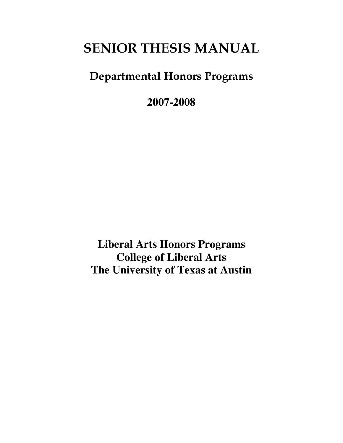# **SENIOR THESIS MANUAL**

# **Departmental Honors Programs**

**2007-2008**

**Liberal Arts Honors Programs College of Liberal Arts The University of Texas at Austin**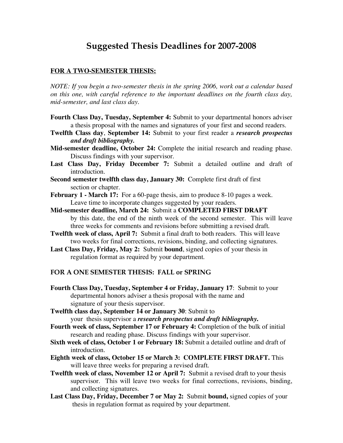## **Suggested Thesis Deadlines for 2007-2008**

#### **FOR A TWO-SEMESTER THESIS:**

*NOTE: If you begin a two-semester thesis in the spring 2006, work out a calendar based on this one, with careful reference to the important deadlines on the fourth class day, mid-semester, and last class day.*

- **Fourth Class Day, Tuesday, September 4:** Submit to your departmental honors adviser a thesis proposal with the names and signatures of your first and second readers.
- **Twelfth Class day**, **September 14:** Submit to your first reader a *research prospectus and draft bibliography.*
- **Mid-semester deadline, October 24:** Complete the initial research and reading phase. Discuss findings with your supervisor.
- **Last Class Day, Friday December 7:** Submit a detailed outline and draft of introduction.
- **Second semester twelfth class day, January 30:** Complete first draft of first section or chapter.
- **February 1 - March 17:** For a 60-page thesis, aim to produce 8-10 pages a week. Leave time to incorporate changes suggested by your readers.
- **Mid-semester deadline, March 24:** Submit a **COMPLETED FIRST DRAFT** by this date, the end of the ninth week of the second semester. This will leave three weeks for comments and revisions before submitting a revised draft.
- **Twelfth week of class, April 7:** Submit a final draft to both readers. This will leave two weeks for final corrections, revisions, binding, and collecting signatures.
- **Last Class Day, Friday, May 2:** Submit **bound**, signed copies of your thesis in regulation format as required by your department.

#### **FOR A ONE SEMESTER THESIS: FALL or SPRING**

- **Fourth Class Day, Tuesday, September 4 or Friday, January 17**: Submit to your departmental honors adviser a thesis proposal with the name and signature of your thesis supervisor.
- **Twelfth class day, September 14 or January 30**: Submit to your thesis supervisor a *research prospectus and draft bibliography***.**
- **Fourth week of class, September 17 or February 4:** Completion of the bulk of initial research and reading phase. Discuss findings with your supervisor.
- **Sixth week of class, October 1 or February 18:** Submit a detailed outline and draft of introduction.
- **Eighth week of class, October 15 or March 3: COMPLETE FIRST DRAFT.** This will leave three weeks for preparing a revised draft.
- **Twelfth week of class, November 12 or April 7:** Submit a revised draft to your thesis supervisor. This will leave two weeks for final corrections, revisions, binding, and collecting signatures.
- **Last Class Day, Friday, December 7 or May 2:** Submit **bound,** signed copies of your thesis in regulation format as required by your department.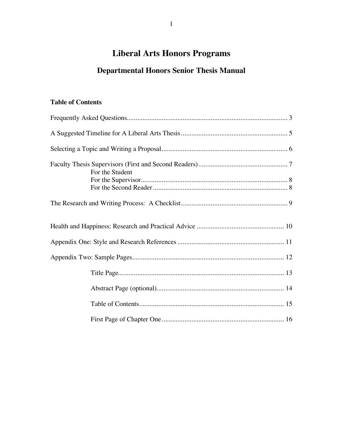## **Liberal Arts Honors Programs**

## **Departmental Honors Senior Thesis Manual**

## **Table of Contents**

| For the Student |  |
|-----------------|--|
|                 |  |
|                 |  |
|                 |  |
|                 |  |
|                 |  |
|                 |  |
|                 |  |
|                 |  |
|                 |  |
|                 |  |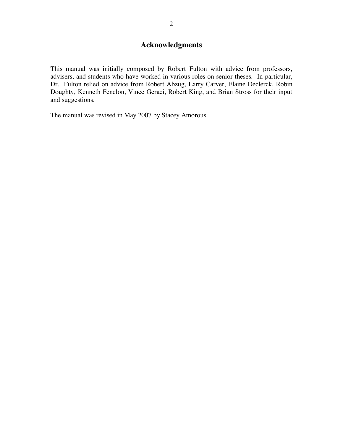## **Acknowledgments**

This manual was initially composed by Robert Fulton with advice from professors, advisers, and students who have worked in various roles on senior theses. In particular, Dr. Fulton relied on advice from Robert Abzug, Larry Carver, Elaine Declerck, Robin Doughty, Kenneth Fenelon, Vince Geraci, Robert King, and Brian Stross for their input and suggestions.

The manual was revised in May 2007 by Stacey Amorous.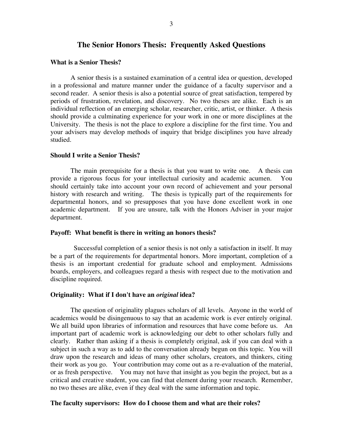#### **The Senior Honors Thesis: Frequently Asked Questions**

#### **What is a Senior Thesis?**

A senior thesis is a sustained examination of a central idea or question, developed in a professional and mature manner under the guidance of a faculty supervisor and a second reader. A senior thesis is also a potential source of great satisfaction, tempered by periods of frustration, revelation, and discovery. No two theses are alike. Each is an individual reflection of an emerging scholar, researcher, critic, artist, or thinker. A thesis should provide a culminating experience for your work in one or more disciplines at the University. The thesis is not the place to explore a discipline for the first time. You and your advisers may develop methods of inquiry that bridge disciplines you have already studied.

#### **Should I write a Senior Thesis?**

The main prerequisite for a thesis is that you want to write one. A thesis can provide a rigorous focus for your intellectual curiosity and academic acumen. You should certainly take into account your own record of achievement and your personal history with research and writing. The thesis is typically part of the requirements for departmental honors, and so presupposes that you have done excellent work in one academic department. If you are unsure, talk with the Honors Adviser in your major department.

#### **Payoff: What benefit is there in writing an honors thesis?**

Successful completion of a senior thesis is not only a satisfaction in itself. It may be a part of the requirements for departmental honors. More important, completion of a thesis is an important credential for graduate school and employment. Admissions boards, employers, and colleagues regard a thesis with respect due to the motivation and discipline required.

#### **Originality: What if I don't have an** *original* **idea?**

The question of originality plagues scholars of all levels. Anyone in the world of academics would be disingenuous to say that an academic work is ever entirely original. We all build upon libraries of information and resources that have come before us. An important part of academic work is acknowledging our debt to other scholars fully and clearly. Rather than asking if a thesis is completely original, ask if you can deal with a subject in such a way as to add to the conversation already begun on this topic. You will draw upon the research and ideas of many other scholars, creators, and thinkers, citing their work as you go. Your contribution may come out as a re-evaluation of the material, or as fresh perspective. You may not have that insight as you begin the project, but as a critical and creative student, you can find that element during your research. Remember, no two theses are alike, even if they deal with the same information and topic.

#### **The faculty supervisors: How do I choose them and what are their roles?**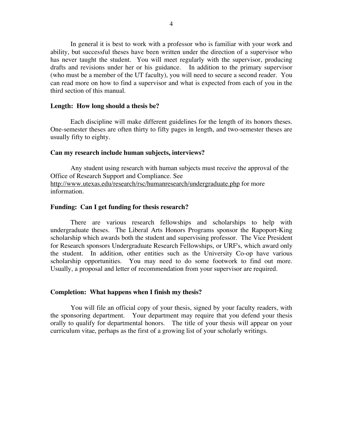In general it is best to work with a professor who is familiar with your work and ability, but successful theses have been written under the direction of a supervisor who has never taught the student. You will meet regularly with the supervisor, producing drafts and revisions under her or his guidance. In addition to the primary supervisor (who must be a member of the UT faculty), you will need to secure a second reader. You can read more on how to find a supervisor and what is expected from each of you in the third section of this manual.

#### **Length: How long should a thesis be?**

Each discipline will make different guidelines for the length of its honors theses. One-semester theses are often thirty to fifty pages in length, and two-semester theses are usually fifty to eighty.

#### **Can my research include human subjects, interviews?**

Any student using research with human subjects must receive the approval of the Office of Research Support and Compliance. See http://www.utexas.edu/research/rsc/humanresearch/undergraduate.php for more information.

#### **Funding: Can I get funding for thesis research?**

There are various research fellowships and scholarships to help with undergraduate theses. The Liberal Arts Honors Programs sponsor the Rapoport-King scholarship which awards both the student and supervising professor. The Vice President for Research sponsors Undergraduate Research Fellowships, or URF's, which award only the student. In addition, other entities such as the University Co-op have various scholarship opportunities. You may need to do some footwork to find out more. Usually, a proposal and letter of recommendation from your supervisor are required.

#### **Completion: What happens when I finish my thesis?**

You will file an official copy of your thesis, signed by your faculty readers, with the sponsoring department. Your department may require that you defend your thesis orally to qualify for departmental honors. The title of your thesis will appear on your curriculum vitae, perhaps as the first of a growing list of your scholarly writings.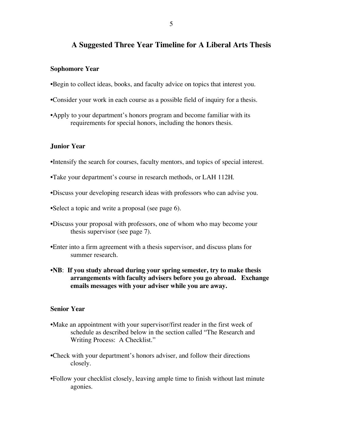### **A Suggested Three Year Timeline for A Liberal Arts Thesis**

#### **Sophomore Year**

- •Begin to collect ideas, books, and faculty advice on topics that interest you.
- •Consider your work in each course as a possible field of inquiry for a thesis.
- •Apply to your department's honors program and become familiar with its requirements for special honors, including the honors thesis.

#### **Junior Year**

- •Intensify the search for courses, faculty mentors, and topics of special interest.
- •Take your department's course in research methods, or LAH 112H.
- •Discuss your developing research ideas with professors who can advise you.
- •Select a topic and write a proposal (see page 6).
- •Discuss your proposal with professors, one of whom who may become your thesis supervisor (see page 7).
- •Enter into a firm agreement with a thesis supervisor, and discuss plans for summer research.
- •**NB**: **If you study abroad during your spring semester, try to make thesis arrangements with faculty advisers before you go abroad. Exchange emails messages with your adviser while you are away.**

#### **Senior Year**

- •Make an appointment with your supervisor/first reader in the first week of schedule as described below in the section called "The Research and Writing Process: A Checklist."
- •Check with your department's honors adviser, and follow their directions closely.
- •Follow your checklist closely, leaving ample time to finish without last minute agonies.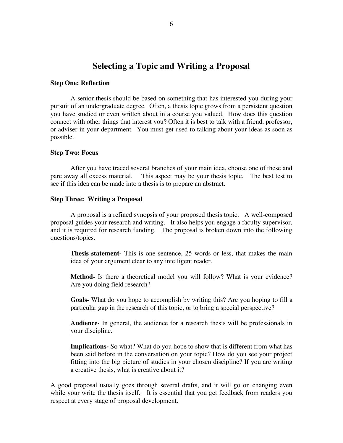## **Selecting a Topic and Writing a Proposal**

#### **Step One: Reflection**

A senior thesis should be based on something that has interested you during your pursuit of an undergraduate degree. Often, a thesis topic grows from a persistent question you have studied or even written about in a course you valued. How does this question connect with other things that interest you? Often it is best to talk with a friend, professor, or adviser in your department. You must get used to talking about your ideas as soon as possible.

#### **Step Two: Focus**

After you have traced several branches of your main idea, choose one of these and pare away all excess material. This aspect may be your thesis topic. The best test to see if this idea can be made into a thesis is to prepare an abstract.

#### **Step Three: Writing a Proposal**

A proposal is a refined synopsis of your proposed thesis topic. A well-composed proposal guides your research and writing. It also helps you engage a faculty supervisor, and it is required for research funding. The proposal is broken down into the following questions/topics.

**Thesis statement-** This is one sentence, 25 words or less, that makes the main idea of your argument clear to any intelligent reader.

**Method-** Is there a theoretical model you will follow? What is your evidence? Are you doing field research?

**Goals-** What do you hope to accomplish by writing this? Are you hoping to fill a particular gap in the research of this topic, or to bring a special perspective?

**Audience-** In general, the audience for a research thesis will be professionals in your discipline.

**Implications-** So what? What do you hope to show that is different from what has been said before in the conversation on your topic? How do you see your project fitting into the big picture of studies in your chosen discipline? If you are writing a creative thesis, what is creative about it?

A good proposal usually goes through several drafts, and it will go on changing even while your write the thesis itself. It is essential that you get feedback from readers you respect at every stage of proposal development.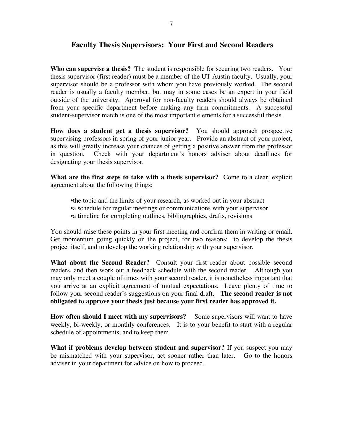### **Faculty Thesis Supervisors: Your First and Second Readers**

**Who can supervise a thesis?** The student is responsible for securing two readers. Your thesis supervisor (first reader) must be a member of the UT Austin faculty. Usually, your supervisor should be a professor with whom you have previously worked. The second reader is usually a faculty member, but may in some cases be an expert in your field outside of the university. Approval for non-faculty readers should always be obtained from your specific department before making any firm commitments. A successful student-supervisor match is one of the most important elements for a successful thesis.

**How does a student get a thesis supervisor?** You should approach prospective supervising professors in spring of your junior year. Provide an abstract of your project, as this will greatly increase your chances of getting a positive answer from the professor in question. Check with your department's honors adviser about deadlines for designating your thesis supervisor.

**What are the first steps to take with a thesis supervisor?** Come to a clear, explicit agreement about the following things:

•the topic and the limits of your research, as worked out in your abstract •a schedule for regular meetings or communications with your supervisor •a timeline for completing outlines, bibliographies, drafts, revisions

You should raise these points in your first meeting and confirm them in writing or email. Get momentum going quickly on the project, for two reasons: to develop the thesis project itself, and to develop the working relationship with your supervisor.

**What about the Second Reader?** Consult your first reader about possible second readers, and then work out a feedback schedule with the second reader. Although you may only meet a couple of times with your second reader, it is nonetheless important that you arrive at an explicit agreement of mutual expectations. Leave plenty of time to follow your second reader's suggestions on your final draft. **The second reader is not obligated to approve your thesis just because your first reader has approved it.**

**How often should I meet with my supervisors?** Some supervisors will want to have weekly, bi-weekly, or monthly conferences. It is to your benefit to start with a regular schedule of appointments, and to keep them.

**What if problems develop between student and supervisor?** If you suspect you may be mismatched with your supervisor, act sooner rather than later. Go to the honors adviser in your department for advice on how to proceed.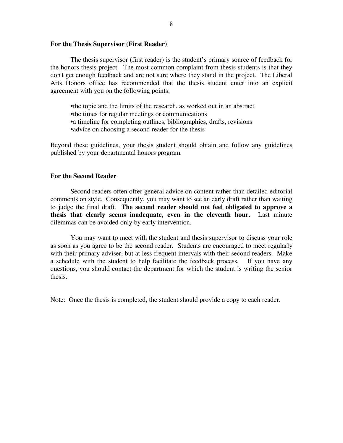#### **For the Thesis Supervisor (First Reader)**

The thesis supervisor (first reader) is the student's primary source of feedback for the honors thesis project. The most common complaint from thesis students is that they don't get enough feedback and are not sure where they stand in the project. The Liberal Arts Honors office has recommended that the thesis student enter into an explicit agreement with you on the following points:

•the topic and the limits of the research, as worked out in an abstract •the times for regular meetings or communications •a timeline for completing outlines, bibliographies, drafts, revisions • advice on choosing a second reader for the thesis

Beyond these guidelines, your thesis student should obtain and follow any guidelines published by your departmental honors program.

#### **For the Second Reader**

Second readers often offer general advice on content rather than detailed editorial comments on style. Consequently, you may want to see an early draft rather than waiting to judge the final draft. **The second reader should not feel obligated to approve a thesis that clearly seems inadequate, even in the eleventh hour.** Last minute dilemmas can be avoided only by early intervention.

You may want to meet with the student and thesis supervisor to discuss your role as soon as you agree to be the second reader. Students are encouraged to meet regularly with their primary adviser, but at less frequent intervals with their second readers. Make a schedule with the student to help facilitate the feedback process. If you have any questions, you should contact the department for which the student is writing the senior thesis.

Note: Once the thesis is completed, the student should provide a copy to each reader.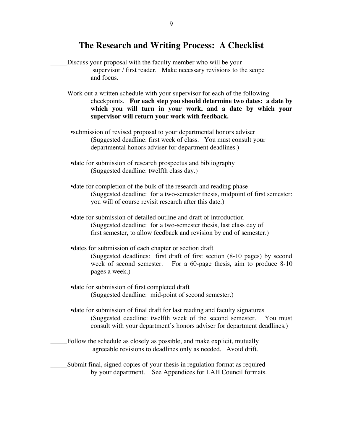## **The Research and Writing Process: A Checklist**

- **\_\_\_\_\_**Discuss your proposal with the faculty member who will be your supervisor / first reader. Make necessary revisions to the scope and focus.
- \_\_\_\_\_Work out a written schedule with your supervisor for each of the following checkpoints. **For each step you should determine two dates: a date by which you will turn in your work, and a date by which your supervisor will return your work with feedback.**
	- •submission of revised proposal to your departmental honors adviser (Suggested deadline: first week of class. You must consult your departmental honors adviser for department deadlines.)
	- •date for submission of research prospectus and bibliography (Suggested deadline: twelfth class day.)
	- •date for completion of the bulk of the research and reading phase (Suggested deadline: for a two-semester thesis, midpoint of first semester: you will of course revisit research after this date.)
	- •date for submission of detailed outline and draft of introduction (Suggested deadline: for a two-semester thesis, last class day of first semester, to allow feedback and revision by end of semester.)
	- •dates for submission of each chapter or section draft (Suggested deadlines: first draft of first section (8-10 pages) by second week of second semester. For a 60-page thesis, aim to produce 8-10 pages a week.)
	- •date for submission of first completed draft (Suggested deadline: mid-point of second semester.)
	- •date for submission of final draft for last reading and faculty signatures (Suggested deadline: twelfth week of the second semester. You must consult with your department's honors adviser for department deadlines.)
- Follow the schedule as closely as possible, and make explicit, mutually agreeable revisions to deadlines only as needed. Avoid drift.
- \_\_\_\_\_Submit final, signed copies of your thesis in regulation format as required by your department. See Appendices for LAH Council formats.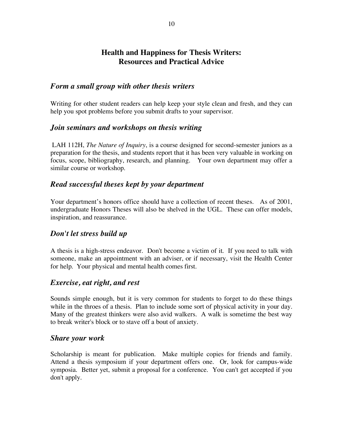## **Health and Happiness for Thesis Writers: Resources and Practical Advice**

### *Form a small group with other thesis writers*

Writing for other student readers can help keep your style clean and fresh, and they can help you spot problems before you submit drafts to your supervisor.

### *Join seminars and workshops on thesis writing*

LAH 112H, *The Nature of Inquiry*, is a course designed for second-semester juniors as a preparation for the thesis, and students report that it has been very valuable in working on focus, scope, bibliography, research, and planning. Your own department may offer a similar course or workshop.

### *Read successful theses kept by your department*

Your department's honors office should have a collection of recent theses. As of 2001, undergraduate Honors Theses will also be shelved in the UGL. These can offer models, inspiration, and reassurance.

### *Don't let stress build up*

A thesis is a high-stress endeavor. Don't become a victim of it. If you need to talk with someone, make an appointment with an adviser, or if necessary, visit the Health Center for help. Your physical and mental health comes first.

#### *Exercise, eat right, and rest*

Sounds simple enough, but it is very common for students to forget to do these things while in the throes of a thesis. Plan to include some sort of physical activity in your day. Many of the greatest thinkers were also avid walkers. A walk is sometime the best way to break writer's block or to stave off a bout of anxiety.

#### *Share your work*

Scholarship is meant for publication. Make multiple copies for friends and family. Attend a thesis symposium if your department offers one. Or, look for campus-wide symposia. Better yet, submit a proposal for a conference. You can't get accepted if you don't apply.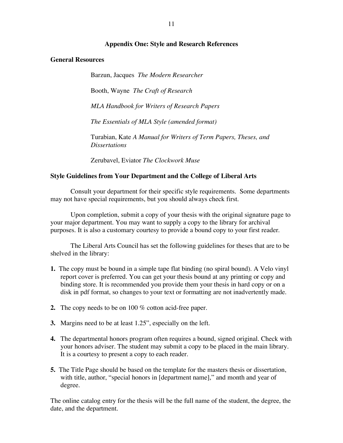#### **Appendix One: Style and Research References**

#### **General Resources**

Barzun, Jacques *The Modern Researcher*

Booth, Wayne *The Craft of Research*

*MLA Handbook for Writers of Research Papers*

*The Essentials of MLA Style (amended format)*

Turabian, Kate *A Manual for Writers of Term Papers, Theses, and Dissertations*

Zerubavel, Eviator *The Clockwork Muse*

#### **Style Guidelines from Your Department and the College of Liberal Arts**

Consult your department for their specific style requirements. Some departments may not have special requirements, but you should always check first.

Upon completion, submit a copy of your thesis with the original signature page to your major department. You may want to supply a copy to the library for archival purposes. It is also a customary courtesy to provide a bound copy to your first reader.

The Liberal Arts Council has set the following guidelines for theses that are to be shelved in the library:

- **1.** The copy must be bound in a simple tape flat binding (no spiral bound). A Velo vinyl report cover is preferred. You can get your thesis bound at any printing or copy and binding store. It is recommended you provide them your thesis in hard copy or on a disk in pdf format, so changes to your text or formatting are not inadvertently made.
- **2.** The copy needs to be on 100 % cotton acid-free paper.
- **3.** Margins need to be at least 1.25", especially on the left.
- **4.** The departmental honors program often requires a bound, signed original. Check with your honors adviser. The student may submit a copy to be placed in the main library. It is a courtesy to present a copy to each reader.
- **5.** The Title Page should be based on the template for the masters thesis or dissertation, with title, author, "special honors in [department name]," and month and year of degree.

The online catalog entry for the thesis will be the full name of the student, the degree, the date, and the department.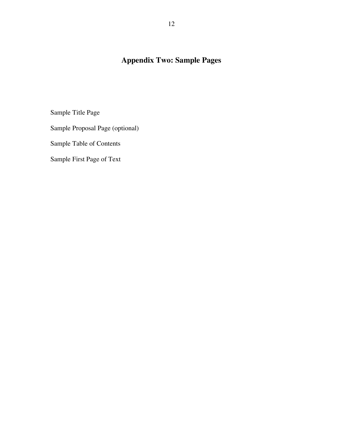## **Appendix Two: Sample Pages**

Sample Title Page

Sample Proposal Page (optional)

Sample Table of Contents

Sample First Page of Text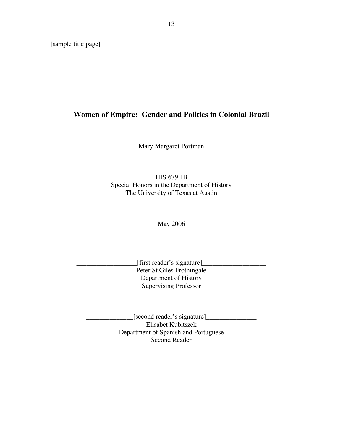[sample title page]

## **Women of Empire: Gender and Politics in Colonial Brazil**

Mary Margaret Portman

HIS 679HB Special Honors in the Department of History The University of Texas at Austin

May 2006

\_\_\_\_\_\_\_\_\_\_\_\_\_\_\_\_\_\_[first reader's signature]\_\_\_\_\_\_\_\_\_\_\_\_\_\_\_\_\_\_\_ Peter St.Giles Frothingale Department of History Supervising Professor

 $[second reader's signature]$ Elisabet Kubitszek Department of Spanish and Portuguese Second Reader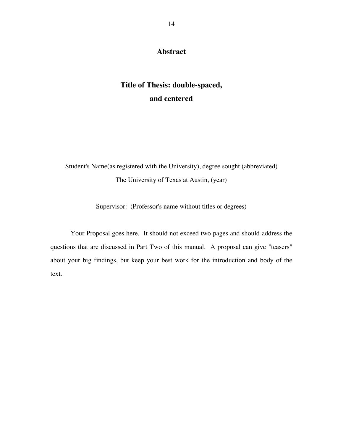### **Abstract**

## **Title of Thesis: double-spaced, and centered**

Student's Name(as registered with the University), degree sought (abbreviated) The University of Texas at Austin, (year)

Supervisor: (Professor's name without titles or degrees)

Your Proposal goes here. It should not exceed two pages and should address the questions that are discussed in Part Two of this manual. A proposal can give "teasers" about your big findings, but keep your best work for the introduction and body of the text.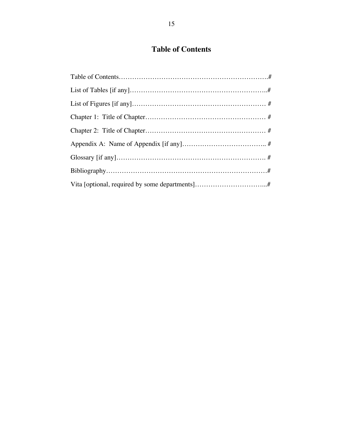## **Table of Contents**